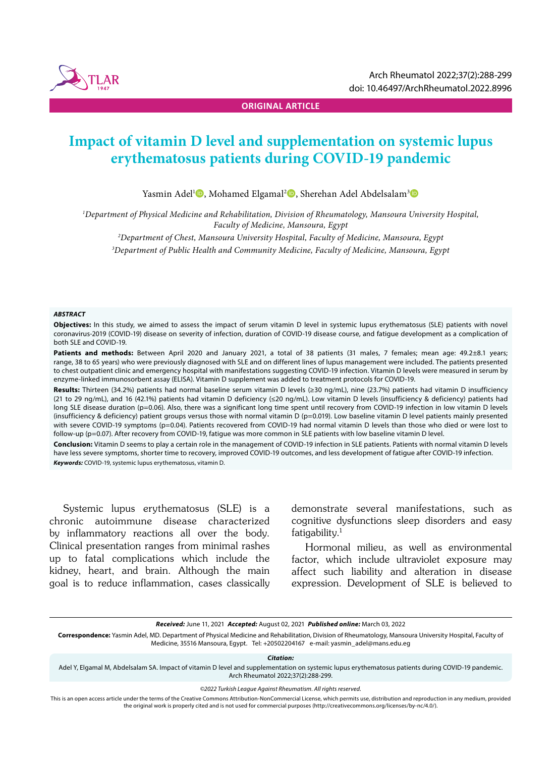

**ORIGINAL ARTICLE**

# **Impact of vitamin D level and supplementation on systemic lupus erythematosus patients during COVID-19 pandemic**

Yasmin Adel<sup>1</sup>D, Mohamed Elgamal<sup>2</sup>D, Sherehan Adel Abdelsalam<sup>3</sup>D

*1 Department of Physical Medicine and Rehabilitation, Division of Rheumatology, Mansoura University Hospital, Faculty of Medicine, Mansoura, Egypt*

*2 Department of Chest, Mansoura University Hospital, Faculty of Medicine, Mansoura, Egypt*

*3 Department of Public Health and Community Medicine, Faculty of Medicine, Mansoura, Egypt*

#### *ABSTRACT*

**Objectives:** In this study, we aimed to assess the impact of serum vitamin D level in systemic lupus erythematosus (SLE) patients with novel coronavirus-2019 (COVID-19) disease on severity of infection, duration of COVID-19 disease course, and fatigue development as a complication of both SLE and COVID-19.

Patients and methods: Between April 2020 and January 2021, a total of 38 patients (31 males, 7 females; mean age: 49.2±8.1 years; range, 38 to 65 years) who were previously diagnosed with SLE and on different lines of lupus management were included. The patients presented to chest outpatient clinic and emergency hospital with manifestations suggesting COVID-19 infection. Vitamin D levels were measured in serum by enzyme-linked immunosorbent assay (ELISA). Vitamin D supplement was added to treatment protocols for COVID-19.

**Results:** Thirteen (34.2%) patients had normal baseline serum vitamin D levels (≥30 ng/mL), nine (23.7%) patients had vitamin D insufficiency (21 to 29 ng/mL), and 16 (42.1%) patients had vitamin D deficiency (≤20 ng/mL). Low vitamin D levels (insufficiency & deficiency) patients had long SLE disease duration (p=0.06). Also, there was a significant long time spent until recovery from COVID-19 infection in low vitamin D levels (insufficiency & deficiency) patient groups versus those with normal vitamin D (p=0.019). Low baseline vitamin D level patients mainly presented with severe COVID-19 symptoms (p=0.04). Patients recovered from COVID-19 had normal vitamin D levels than those who died or were lost to follow-up (p=0.07). After recovery from COVID-19, fatigue was more common in SLE patients with low baseline vitamin D level.

**Conclusion:** Vitamin D seems to play a certain role in the management of COVID-19 infection in SLE patients. Patients with normal vitamin D levels have less severe symptoms, shorter time to recovery, improved COVID-19 outcomes, and less development of fatigue after COVID-19 infection. *Keywords:* COVID-19, systemic lupus erythematosus, vitamin D.

Systemic lupus erythematosus (SLE) is a chronic autoimmune disease characterized by inflammatory reactions all over the body. Clinical presentation ranges from minimal rashes up to fatal complications which include the kidney, heart, and brain. Although the main goal is to reduce inflammation, cases classically demonstrate several manifestations, such as cognitive dysfunctions sleep disorders and easy fatigability. $1$ 

Hormonal milieu, as well as environmental factor, which include ultraviolet exposure may affect such liability and alteration in disease expression. Development of SLE is believed to

*Received:* June 11, 2021 *Accepted:* August 02, 2021 *Published online:* March 03, 2022

**Correspondence:** Yasmin Adel, MD. Department of Physical Medicine and Rehabilitation, Division of Rheumatology, Mansoura University Hospital, Faculty of Medicine, 35516 Mansoura, Egypt. Tel: +20502204167 e-mail: yasmin\_adel@mans.edu.eg

*Citation:*

Adel Y, Elgamal M, Abdelsalam SA. Impact of vitamin D level and supplementation on systemic lupus erythematosus patients during COVID-19 pandemic. Arch Rheumatol 2022;37(2):288-299.

*©2022 Turkish League Against Rheumatism. All rights reserved.*

This is an open access article under the terms of the Creative Commons Attribution-NonCommercial License, which permits use, distribution and reproduction in any medium, provided the original work is properly cited and is not used for commercial purposes (http://creativecommons.org/licenses/by-nc/4.0/).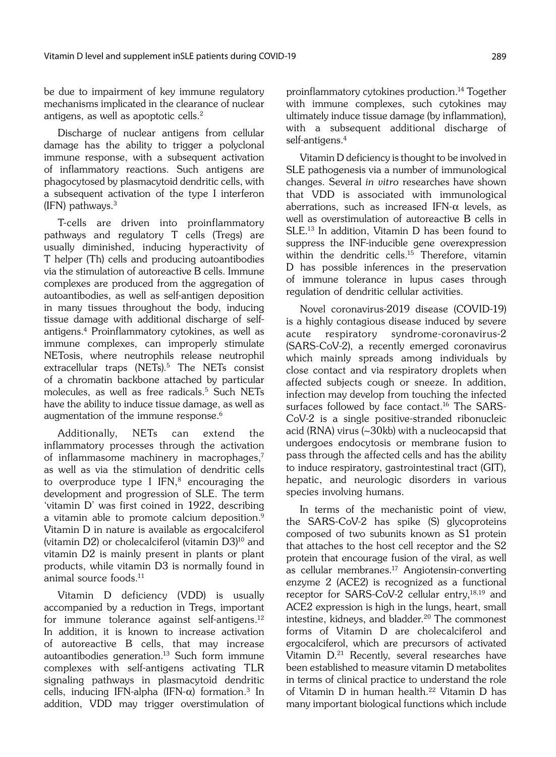be due to impairment of key immune regulatory mechanisms implicated in the clearance of nuclear antigens, as well as apoptotic cells.2

Discharge of nuclear antigens from cellular damage has the ability to trigger a polyclonal immune response, with a subsequent activation of inflammatory reactions. Such antigens are phagocytosed by plasmacytoid dendritic cells, with a subsequent activation of the type I interferon (IFN) pathways. $3$ 

T-cells are driven into proinflammatory pathways and regulatory T cells (Tregs) are usually diminished, inducing hyperactivity of T helper (Th) cells and producing autoantibodies via the stimulation of autoreactive B cells. Immune complexes are produced from the aggregation of autoantibodies, as well as self-antigen deposition in many tissues throughout the body, inducing tissue damage with additional discharge of selfantigens.4 Proinflammatory cytokines, as well as immune complexes, can improperly stimulate NETosis, where neutrophils release neutrophil extracellular traps (NETs).<sup>5</sup> The NETs consist of a chromatin backbone attached by particular molecules, as well as free radicals.<sup>5</sup> Such NETs have the ability to induce tissue damage, as well as augmentation of the immune response.<sup>6</sup>

Additionally, NETs can extend the inflammatory processes through the activation of inflammasome machinery in macrophages,7 as well as via the stimulation of dendritic cells to overproduce type I IFN, $8$  encouraging the development and progression of SLE. The term 'vitamin D' was first coined in 1922, describing a vitamin able to promote calcium deposition.<sup>9</sup> Vitamin D in nature is available as ergocalciferol (vitamin  $D2$ ) or cholecalciferol (vitamin  $D3$ <sup>10</sup> and vitamin D2 is mainly present in plants or plant products, while vitamin D3 is normally found in animal source foods.11

Vitamin D deficiency (VDD) is usually accompanied by a reduction in Tregs, important for immune tolerance against self-antigens.12 In addition, it is known to increase activation of autoreactive B cells, that may increase autoantibodies generation.<sup>13</sup> Such form immune complexes with self-antigens activating TLR signaling pathways in plasmacytoid dendritic cells, inducing IFN-alpha (IFN- $\alpha$ ) formation.<sup>3</sup> In addition, VDD may trigger overstimulation of proinflammatory cytokines production.14 Together with immune complexes, such cytokines may ultimately induce tissue damage (by inflammation), with a subsequent additional discharge of self-antigens.<sup>4</sup>

Vitamin D deficiency is thought to be involved in SLE pathogenesis via a number of immunological changes. Several in vitro researches have shown that VDD is associated with immunological aberrations, such as increased IFN- $\alpha$  levels, as well as overstimulation of autoreactive B cells in SLE.13 In addition, Vitamin D has been found to suppress the INF-inducible gene overexpression within the dendritic cells.<sup>15</sup> Therefore, vitamin D has possible inferences in the preservation of immune tolerance in lupus cases through regulation of dendritic cellular activities.

Novel coronavirus-2019 disease (COVID-19) is a highly contagious disease induced by severe acute respiratory syndrome-coronavirus-2 (SARS-CoV-2), a recently emerged coronavirus which mainly spreads among individuals by close contact and via respiratory droplets when affected subjects cough or sneeze. In addition, infection may develop from touching the infected surfaces followed by face contact.<sup>16</sup> The SARS-CoV-2 is a single positive-stranded ribonucleic acid (RNA) virus (~30kb) with a nucleocapsid that undergoes endocytosis or membrane fusion to pass through the affected cells and has the ability to induce respiratory, gastrointestinal tract (GIT), hepatic, and neurologic disorders in various species involving humans.

In terms of the mechanistic point of view, the SARS-CoV-2 has spike (S) glycoproteins composed of two subunits known as S1 protein that attaches to the host cell receptor and the S2 protein that encourage fusion of the viral, as well as cellular membranes.17 Angiotensin-converting enzyme 2 (ACE2) is recognized as a functional receptor for SARS-CoV-2 cellular entry,18,19 and ACE2 expression is high in the lungs, heart, small intestine, kidneys, and bladder.<sup>20</sup> The commonest forms of Vitamin D are cholecalciferol and ergocalciferol, which are precursors of activated Vitamin D.21 Recently, several researches have been established to measure vitamin D metabolites in terms of clinical practice to understand the role of Vitamin D in human health.<sup>22</sup> Vitamin D has many important biological functions which include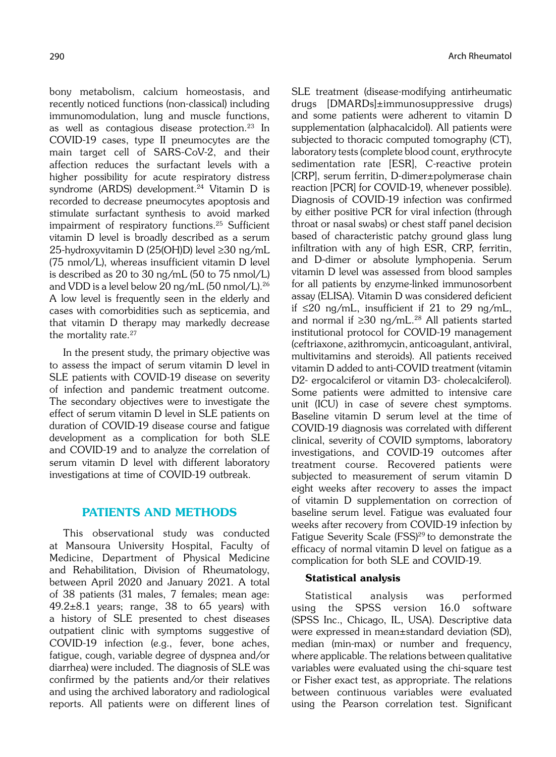bony metabolism, calcium homeostasis, and recently noticed functions (non-classical) including immunomodulation, lung and muscle functions, as well as contagious disease protection.23 In COVID-19 cases, type II pneumocytes are the main target cell of SARS-CoV-2, and their affection reduces the surfactant levels with a higher possibility for acute respiratory distress syndrome (ARDS) development.<sup>24</sup> Vitamin D is recorded to decrease pneumocytes apoptosis and stimulate surfactant synthesis to avoid marked impairment of respiratory functions.25 Sufficient vitamin D level is broadly described as a serum 25-hydroxyvitamin D (25(OH)D) level ≥30 ng/mL (75 nmol/L), whereas insufficient vitamin D level is described as 20 to 30 ng/mL (50 to 75 nmol/L) and VDD is a level below 20 ng/mL (50 nmol/L).<sup>26</sup> A low level is frequently seen in the elderly and cases with comorbidities such as septicemia, and that vitamin D therapy may markedly decrease the mortality rate.<sup>27</sup>

In the present study, the primary objective was to assess the impact of serum vitamin D level in SLE patients with COVID-19 disease on severity of infection and pandemic treatment outcome. The secondary objectives were to investigate the effect of serum vitamin D level in SLE patients on duration of COVID-19 disease course and fatigue development as a complication for both SLE and COVID-19 and to analyze the correlation of serum vitamin D level with different laboratory investigations at time of COVID-19 outbreak.

# PATIENTS AND METHODS

This observational study was conducted at Mansoura University Hospital, Faculty of Medicine, Department of Physical Medicine and Rehabilitation, Division of Rheumatology, between April 2020 and January 2021. A total of 38 patients (31 males, 7 females; mean age:  $49.2\pm8.1$  years; range, 38 to 65 years) with a history of SLE presented to chest diseases outpatient clinic with symptoms suggestive of COVID-19 infection (e.g., fever, bone aches, fatigue, cough, variable degree of dyspnea and/or diarrhea) were included. The diagnosis of SLE was confirmed by the patients and/or their relatives and using the archived laboratory and radiological reports. All patients were on different lines of SLE treatment (disease-modifying antirheumatic drugs [DMARDs]±immunosuppressive drugs) and some patients were adherent to vitamin D supplementation (alphacalcidol). All patients were subjected to thoracic computed tomography (CT), laboratory tests (complete blood count, erythrocyte sedimentation rate [ESR], C-reactive protein [CRP], serum ferritin, D-dimer±polymerase chain reaction [PCR] for COVID-19, whenever possible). Diagnosis of COVID-19 infection was confirmed by either positive PCR for viral infection (through throat or nasal swabs) or chest staff panel decision based of characteristic patchy ground glass lung infiltration with any of high ESR, CRP, ferritin, and D-dimer or absolute lymphopenia. Serum vitamin D level was assessed from blood samples for all patients by enzyme-linked immunosorbent assay (ELISA). Vitamin D was considered deficient if ≤20 ng/mL, insufficient if 21 to 29 ng/mL, and normal if  $\geq 30$  ng/mL.<sup>28</sup> All patients started institutional protocol for COVID-19 management (ceftriaxone, azithromycin, anticoagulant, antiviral, multivitamins and steroids). All patients received vitamin D added to anti-COVID treatment (vitamin D2- ergocalciferol or vitamin D3- cholecalciferol). Some patients were admitted to intensive care unit (ICU) in case of severe chest symptoms. Baseline vitamin D serum level at the time of COVID-19 diagnosis was correlated with different clinical, severity of COVID symptoms, laboratory investigations, and COVID-19 outcomes after treatment course. Recovered patients were subjected to measurement of serum vitamin D eight weeks after recovery to asses the impact of vitamin D supplementation on correction of baseline serum level. Fatigue was evaluated four weeks after recovery from COVID-19 infection by Fatigue Severity Scale (FSS)<sup>29</sup> to demonstrate the efficacy of normal vitamin D level on fatigue as a complication for both SLE and COVID-19.

#### Statistical analysis

Statistical analysis was performed using the SPSS version 16.0 software (SPSS Inc., Chicago, IL, USA). Descriptive data were expressed in mean±standard deviation (SD), median (min-max) or number and frequency, where applicable. The relations between qualitative variables were evaluated using the chi-square test or Fisher exact test, as appropriate. The relations between continuous variables were evaluated using the Pearson correlation test. Significant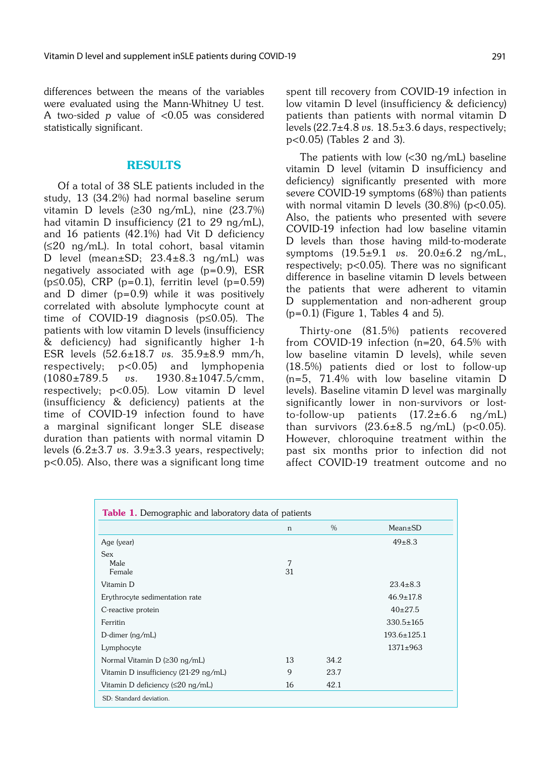differences between the means of the variables were evaluated using the Mann-Whitney U test. A two-sided p value of <0.05 was considered statistically significant.

### RESULTS

Of a total of 38 SLE patients included in the study, 13 (34.2%) had normal baseline serum vitamin D levels (≥30 ng/mL), nine (23.7%) had vitamin D insufficiency (21 to 29 ng/mL), and 16 patients (42.1%) had Vit D deficiency (≤20 ng/mL). In total cohort, basal vitamin D level (mean±SD; 23.4±8.3 ng/mL) was negatively associated with age  $(p=0.9)$ , ESR (p≤0.05), CRP (p=0.1), ferritin level (p=0.59) and D dimer (p=0.9) while it was positively correlated with absolute lymphocyte count at time of COVID-19 diagnosis (p≤0.05). The patients with low vitamin D levels (insufficiency & deficiency) had significantly higher 1-h ESR levels (52.6±18.7 vs. 35.9±8.9 mm/h, respectively; p<0.05) and lymphopenia (1080±789.5 vs. 1930.8±1047.5/cmm, respectively; p<0.05). Low vitamin D level (insufficiency & deficiency) patients at the time of COVID-19 infection found to have a marginal significant longer SLE disease duration than patients with normal vitamin D levels  $(6.2\pm3.7 \text{ vs. } 3.9\pm3.3 \text{ years}, \text{ respectively};$ p<0.05). Also, there was a significant long time

spent till recovery from COVID-19 infection in low vitamin D level (insufficiency & deficiency) patients than patients with normal vitamin D levels  $(22.7\pm4.8 \text{ vs. } 18.5\pm3.6 \text{ days}, \text{respectively};$ p<0.05) (Tables 2 and 3).

The patients with low  $\langle 30 \text{ ng/mL} \rangle$  baseline vitamin D level (vitamin D insufficiency and deficiency) significantly presented with more severe COVID-19 symptoms (68%) than patients with normal vitamin D levels  $(30.8\%)$  (p<0.05). Also, the patients who presented with severe COVID-19 infection had low baseline vitamin D levels than those having mild-to-moderate symptoms (19.5±9.1 vs. 20.0±6.2 ng/mL, respectively; p<0.05). There was no significant difference in baseline vitamin D levels between the patients that were adherent to vitamin D supplementation and non-adherent group  $(p=0.1)$  (Figure 1, Tables 4 and 5).

Thirty-one (81.5%) patients recovered from COVID-19 infection (n=20, 64.5% with low baseline vitamin D levels), while seven (18.5%) patients died or lost to follow-up (n=5, 71.4% with low baseline vitamin D levels). Baseline vitamin D level was marginally significantly lower in non-survivors or lostto-follow-up patients  $(17.2\pm6.6$  ng/mL) than survivors  $(23.6 \pm 8.5 \text{ ng/mL})$  (p<0.05). However, chloroquine treatment within the past six months prior to infection did not affect COVID-19 treatment outcome and no

| <b>Table 1.</b> Demographic and laboratory data of patients |    |      |                   |  |  |
|-------------------------------------------------------------|----|------|-------------------|--|--|
|                                                             | n  | $\%$ | $Mean \pm SD$     |  |  |
| Age (year)                                                  |    |      | $49\pm8.3$        |  |  |
| <b>Sex</b><br>Male                                          | 7  |      |                   |  |  |
| Female                                                      | 31 |      |                   |  |  |
| Vitamin D                                                   |    |      | $23.4 \pm 8.3$    |  |  |
| Erythrocyte sedimentation rate                              |    |      | $46.9 \pm 17.8$   |  |  |
| C-reactive protein                                          |    |      | $40+27.5$         |  |  |
| Ferritin                                                    |    |      | $330.5 \pm 165$   |  |  |
| D-dimer $(nq/mL)$                                           |    |      | $193.6 \pm 125.1$ |  |  |
| Lymphocyte                                                  |    |      | $1371 \pm 963$    |  |  |
| Normal Vitamin $D$ ( $\geq$ 30 ng/mL)                       | 13 | 34.2 |                   |  |  |
| Vitamin D insufficiency (21-29 ng/mL)                       | 9  | 23.7 |                   |  |  |
| Vitamin D deficiency ( $\leq$ 20 ng/mL)                     | 16 | 42.1 |                   |  |  |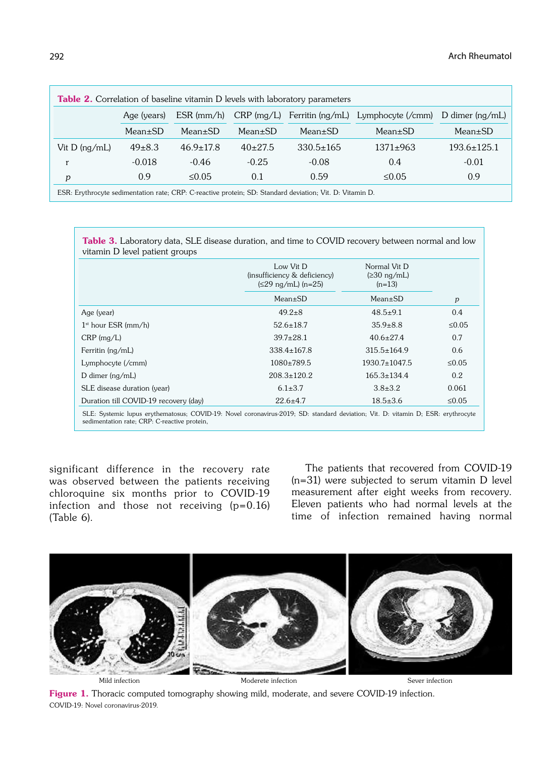| <b>Table 2.</b> Correlation of baseline vitamin D levels with laboratory parameters                         |               |                 |               |                 |                                                               |                   |  |
|-------------------------------------------------------------------------------------------------------------|---------------|-----------------|---------------|-----------------|---------------------------------------------------------------|-------------------|--|
|                                                                                                             | Age (years)   | $ESR$ (mm/h)    |               |                 | CRP (mg/L) Ferritin (ng/mL) Lymphocyte (/cmm) D dimer (ng/mL) |                   |  |
|                                                                                                             | $Mean \pm SD$ | $Mean \pm SD$   | $Mean \pm SD$ | $Mean \pm SD$   | $Mean \pm SD$                                                 | $Mean \pm SD$     |  |
| Vit $D \frac{mg}{mL}$                                                                                       | $49\pm8.3$    | $46.9 \pm 17.8$ | $40+27.5$     | $330.5 \pm 165$ | $1371\pm963$                                                  | $193.6 \pm 125.1$ |  |
| r                                                                                                           | $-0.018$      | $-0.46$         | $-0.25$       | $-0.08$         | 0.4                                                           | $-0.01$           |  |
| p                                                                                                           | 0.9           | $\leq 0.05$     | 0.1           | 0.59            | $\leq 0.05$                                                   | 0.9               |  |
| $ECD$ . Exithuacita sadimentation unto, CDD, C segetive mustain, CD, Ctandaud deviation, Uit. D, Uitamin D. |               |                 |               |                 |                                                               |                   |  |

ESR: Erythrocyte sedimentation rate; CRP: C-reactive protein; SD: Standard deviation; Vit. D: Vitamin D.

Table 3. Laboratory data, SLE disease duration, and time to COVID recovery between normal and low vitamin D level patient groups

|                                       | Low Vit D<br>(insufficiency & deficiency)<br>$(\leq$ 29 ng/mL) (n=25) | Normal Vit D<br>$(230 \text{ ng/mL})$<br>$(n=13)$                                  |                  |
|---------------------------------------|-----------------------------------------------------------------------|------------------------------------------------------------------------------------|------------------|
|                                       | $Mean \pm SD$                                                         | $Mean \pm SD$                                                                      | $\boldsymbol{p}$ |
| Age (year)                            | $49.2 \pm 8$                                                          | $48.5 \pm 9.1$                                                                     | 0.4              |
| $1st$ hour ESR (mm/h)                 | $52.6 \pm 18.7$                                                       | $35.9 \pm 8.8$                                                                     | $\leq 0.05$      |
| $CRP$ (mg/L)                          | $39.7 \pm 28.1$                                                       | $40.6 \pm 27.4$                                                                    | 0.7              |
| Ferritin (ng/mL)                      | $338.4 \pm 167.8$                                                     | $315.5 \pm 164.9$                                                                  | 0.6              |
| Lymphocyte (/cmm)                     | $1080+789.5$                                                          | $1930.7 \pm 1047.5$                                                                | $\leq 0.05$      |
| D dimer $(nq/mL)$                     | $208.3 \pm 120.2$                                                     | $165.3 \pm 134.4$                                                                  | 0.2              |
| SLE disease duration (year)           | $6.1 \pm 3.7$                                                         | $3.8 \pm 3.2$                                                                      | 0.061            |
| Duration till COVID-19 recovery (day) | $22.6 \pm 4.7$                                                        | $18.5 \pm 3.6$                                                                     | $\leq 0.05$      |
| $\sim$                                |                                                                       | $0.010 \times 0.001$ $\ldots$ $1.1 \times 1.001$ $\ldots$ $1.001$ $\ldots$ $1.001$ |                  |

SLE: Systemic lupus erythematosus; COVID-19: Novel coronavirus-2019; SD: standard deviation; Vit. D: vitamin D; ESR: erythrocyte sedimentation rate; CRP: C-reactive protein,

significant difference in the recovery rate was observed between the patients receiving chloroquine six months prior to COVID-19 infection and those not receiving (p=0.16) (Table 6).

The patients that recovered from COVID-19 (n=31) were subjected to serum vitamin D level measurement after eight weeks from recovery. Eleven patients who had normal levels at the time of infection remained having normal



Mild infection and Moderete infection Moderete infection Sever infection

Figure 1. Thoracic computed tomography showing mild, moderate, and severe COVID-19 infection. COVID-19: Novel coronavirus-2019.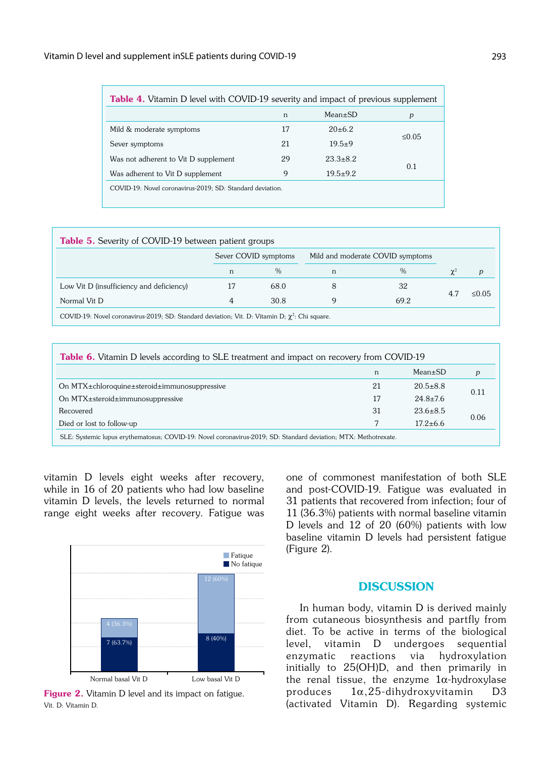| <b>Table 4.</b> Vitamin D level with COVID-19 severity and impact of previous supplement |    |                |             |  |
|------------------------------------------------------------------------------------------|----|----------------|-------------|--|
|                                                                                          | n  | $Mean+SD$      | p           |  |
| Mild & moderate symptoms                                                                 | 17 | $20+6.2$       |             |  |
| Sever symptoms                                                                           | 21 | $19.5+9$       | $\leq 0.05$ |  |
| Was not adherent to Vit D supplement                                                     | 29 | $23.3 \pm 8.2$ |             |  |
| Was adherent to Vit D supplement                                                         | 9  | $19.5+9.2$     | 0.1         |  |
| COVID-19: Novel coronavirus-2019; SD: Standard deviation.                                |    |                |             |  |

| <b>Table 5.</b> Severity of COVID-19 between patient groups                                         |   |                      |   |                                  |  |             |
|-----------------------------------------------------------------------------------------------------|---|----------------------|---|----------------------------------|--|-------------|
|                                                                                                     |   | Sever COVID symptoms |   | Mild and moderate COVID symptoms |  |             |
|                                                                                                     | n | $\%$                 | n | $\%$                             |  | p           |
| Low Vit D (insufficiency and deficiency)                                                            |   | 68.0                 |   | 32                               |  | $\leq 0.05$ |
| Normal Vit D                                                                                        | 4 | 30.8                 |   | 69.2                             |  |             |
| COVID-19: Novel coronavirus-2019; SD: Standard deviation; Vit. D: Vitamin D; $\chi^2$ : Chi square. |   |                      |   |                                  |  |             |

| <b>Table 6.</b> Vitamin D levels according to SLE treatment and impact on recovery from COVID-19 |
|--------------------------------------------------------------------------------------------------|

|                                                                                                                 | n  | $Mean \pm SD$  | р    |  |
|-----------------------------------------------------------------------------------------------------------------|----|----------------|------|--|
| On MTX±chloroquine±steroid±immunosuppressive                                                                    | 21 | $20.5 \pm 8.8$ |      |  |
| On $MTX \pm$ steroid $\pm$ immunosuppresive                                                                     | 17 | $24.8 \pm 7.6$ | 0.11 |  |
| Recovered                                                                                                       | 31 | $23.6 \pm 8.5$ | 0.06 |  |
| Died or lost to follow-up                                                                                       |    | $17.2 + 6.6$   |      |  |
| SLE: Systemic lupus erythematosus; COVID-19: Novel coronavirus-2019; SD: Standard deviation; MTX: Methotrexate. |    |                |      |  |

vitamin D levels eight weeks after recovery, while in 16 of 20 patients who had low baseline vitamin D levels, the levels returned to normal range eight weeks after recovery. Fatigue was



Figure 2. Vitamin D level and its impact on fatigue. Vit. D: Vitamin D.

one of commonest manifestation of both SLE and post-COVID-19. Fatigue was evaluated in 31 patients that recovered from infection; four of 11 (36.3%) patients with normal baseline vitamin D levels and 12 of 20 (60%) patients with low baseline vitamin D levels had persistent fatigue (Figure 2).

## **DISCUSSION**

In human body, vitamin D is derived mainly from cutaneous biosynthesis and partfly from diet. To be active in terms of the biological level, vitamin D undergoes sequential enzymatic reactions via hydroxylation initially to 25(OH)D, and then primarily in the renal tissue, the enzyme  $1\alpha$ -hydroxylase produces  $1\alpha, 25$ -dihydroxyvitamin D3 (activated Vitamin D). Regarding systemic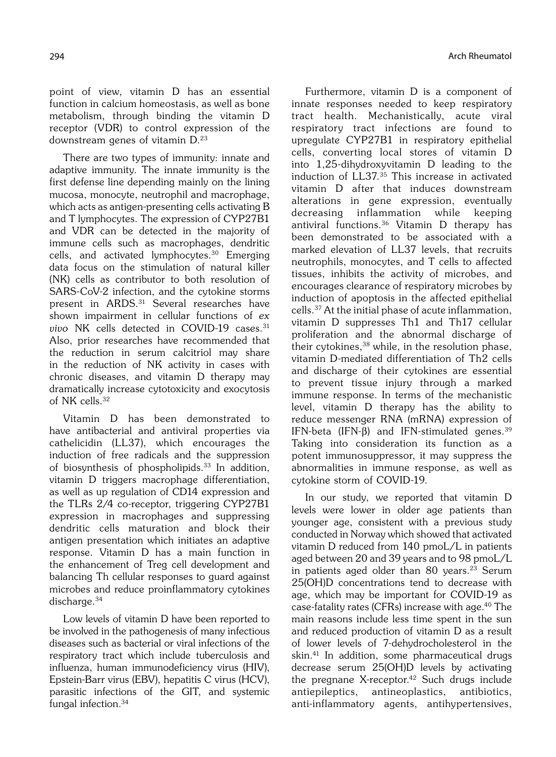point of view, vitamin D has an essential function in calcium homeostasis, as well as bone metabolism, through binding the vitamin D receptor (VDR) to control expression of the downstream genes of vitamin D.<sup>23</sup>

There are two types of immunity: innate and adaptive immunity. The innate immunity is the first defense line depending mainly on the lining mucosa, monocyte, neutrophil and macrophage, which acts as antigen-presenting cells activating B and T lymphocytes. The expression of CYP27B1 and VDR can be detected in the majority of immune cells such as macrophages, dendritic cells, and activated lymphocytes.30 Emerging data focus on the stimulation of natural killer (NK) cells as contributor to both resolution of SARS-CoV-2 infection, and the cytokine storms present in ARDS.31 Several researches have shown impairment in cellular functions of ex vivo NK cells detected in COVID-19 cases. $31$ Also, prior researches have recommended that the reduction in serum calcitriol may share in the reduction of NK activity in cases with chronic diseases, and vitamin D therapy may dramatically increase cytotoxicity and exocytosis of NK cells.32

Vitamin D has been demonstrated to have antibacterial and antiviral properties via cathelicidin (LL37), which encourages the induction of free radicals and the suppression of biosynthesis of phospholipids.<sup>33</sup> In addition, vitamin D triggers macrophage differentiation, as well as up regulation of CD14 expression and the TLRs 2/4 co-receptor, triggering CYP27B1 expression in macrophages and suppressing dendritic cells maturation and block their antigen presentation which initiates an adaptive response. Vitamin D has a main function in the enhancement of Treg cell development and balancing Th cellular responses to guard against microbes and reduce proinflammatory cytokines discharge.34

Low levels of vitamin D have been reported to be involved in the pathogenesis of many infectious diseases such as bacterial or viral infections of the respiratory tract which include tuberculosis and influenza, human immunodeficiency virus (HIV), Epstein-Barr virus (EBV), hepatitis C virus (HCV), parasitic infections of the GIT, and systemic fungal infection.34

Furthermore, vitamin D is a component of innate responses needed to keep respiratory tract health. Mechanistically, acute viral respiratory tract infections are found to upregulate CYP27B1 in respiratory epithelial cells, converting local stores of vitamin D into 1,25-dihydroxyvitamin D leading to the induction of LL37.35 This increase in activated vitamin D after that induces downstream alterations in gene expression, eventually decreasing inflammation while keeping antiviral functions.36 Vitamin D therapy has been demonstrated to be associated with a marked elevation of LL37 levels, that recruits neutrophils, monocytes, and T cells to affected tissues, inhibits the activity of microbes, and encourages clearance of respiratory microbes by induction of apoptosis in the affected epithelial cells.37 At the initial phase of acute inflammation, vitamin D suppresses Th1 and Th17 cellular proliferation and the abnormal discharge of their cytokines,<sup>38</sup> while, in the resolution phase, vitamin D-mediated differentiation of Th2 cells and discharge of their cytokines are essential to prevent tissue injury through a marked immune response. In terms of the mechanistic level, vitamin D therapy has the ability to reduce messenger RNA (mRNA) expression of IFN-beta (IFN- $\beta$ ) and IFN-stimulated genes.<sup>39</sup> Taking into consideration its function as a potent immunosuppressor, it may suppress the abnormalities in immune response, as well as cytokine storm of COVID-19.

In our study, we reported that vitamin D levels were lower in older age patients than younger age, consistent with a previous study conducted in Norway which showed that activated vitamin D reduced from 140 pmoL/L in patients aged between 20 and 39 years and to 98 pmoL/L in patients aged older than 80 years.<sup>23</sup> Serum 25(OH)D concentrations tend to decrease with age, which may be important for COVID-19 as case-fatality rates (CFRs) increase with age.<sup>40</sup> The main reasons include less time spent in the sun and reduced production of vitamin D as a result of lower levels of 7-dehydrocholesterol in the skin.<sup>41</sup> In addition, some pharmaceutical drugs decrease serum 25(OH)D levels by activating the pregnane X-receptor.<sup>42</sup> Such drugs include antiepileptics, antineoplastics, antibiotics, anti-inflammatory agents, antihypertensives,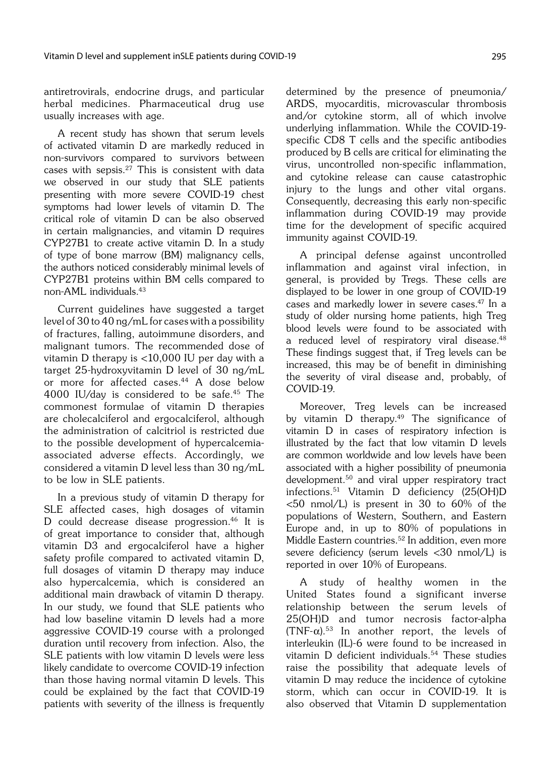antiretrovirals, endocrine drugs, and particular herbal medicines. Pharmaceutical drug use usually increases with age.

A recent study has shown that serum levels of activated vitamin D are markedly reduced in non-survivors compared to survivors between cases with sepsis. $27$  This is consistent with data we observed in our study that SLE patients presenting with more severe COVID-19 chest symptoms had lower levels of vitamin D. The critical role of vitamin D can be also observed in certain malignancies, and vitamin D requires CYP27B1 to create active vitamin D. In a study of type of bone marrow (BM) malignancy cells, the authors noticed considerably minimal levels of CYP27B1 proteins within BM cells compared to non-AML individuals.43

Current guidelines have suggested a target level of 30 to 40 ng/mL for cases with a possibility of fractures, falling, autoimmune disorders, and malignant tumors. The recommended dose of vitamin D therapy is <10,000 IU per day with a target 25-hydroxyvitamin D level of 30 ng/mL or more for affected cases.<sup>44</sup> A dose below 4000 IU/day is considered to be safe.45 The commonest formulae of vitamin D therapies are cholecalciferol and ergocalciferol, although the administration of calcitriol is restricted due to the possible development of hypercalcemiaassociated adverse effects. Accordingly, we considered a vitamin D level less than 30 ng/mL to be low in SLE patients.

In a previous study of vitamin D therapy for SLE affected cases, high dosages of vitamin D could decrease disease progression.46 It is of great importance to consider that, although vitamin D3 and ergocalciferol have a higher safety profile compared to activated vitamin D, full dosages of vitamin D therapy may induce also hypercalcemia, which is considered an additional main drawback of vitamin D therapy. In our study, we found that SLE patients who had low baseline vitamin D levels had a more aggressive COVID-19 course with a prolonged duration until recovery from infection. Also, the SLE patients with low vitamin D levels were less likely candidate to overcome COVID-19 infection than those having normal vitamin D levels. This could be explained by the fact that COVID-19 patients with severity of the illness is frequently determined by the presence of pneumonia/ ARDS, myocarditis, microvascular thrombosis and/or cytokine storm, all of which involve underlying inflammation. While the COVID-19 specific CD8 T cells and the specific antibodies produced by B cells are critical for eliminating the virus, uncontrolled non-specific inflammation, and cytokine release can cause catastrophic injury to the lungs and other vital organs. Consequently, decreasing this early non-specific inflammation during COVID-19 may provide time for the development of specific acquired immunity against COVID-19.

A principal defense against uncontrolled inflammation and against viral infection, in general, is provided by Tregs. These cells are displayed to be lower in one group of COVID-19 cases and markedly lower in severe cases.47 In a study of older nursing home patients, high Treg blood levels were found to be associated with a reduced level of respiratory viral disease.48 These findings suggest that, if Treg levels can be increased, this may be of benefit in diminishing the severity of viral disease and, probably, of COVID-19.

Moreover, Treg levels can be increased by vitamin D therapy.<sup>49</sup> The significance of vitamin D in cases of respiratory infection is illustrated by the fact that low vitamin D levels are common worldwide and low levels have been associated with a higher possibility of pneumonia development.<sup>50</sup> and viral upper respiratory tract infections.51 Vitamin D deficiency (25(OH)D  $<$ 50 nmol/L) is present in 30 to 60% of the populations of Western, Southern, and Eastern Europe and, in up to 80% of populations in Middle Eastern countries.<sup>52</sup> In addition, even more severe deficiency (serum levels <30 nmol/L) is reported in over 10% of Europeans.

A study of healthy women in the United States found a significant inverse relationship between the serum levels of 25(OH)D and tumor necrosis factor-alpha  $(TNF-\alpha)$ .<sup>53</sup> In another report, the levels of interleukin (IL)-6 were found to be increased in vitamin D deficient individuals.<sup>54</sup> These studies raise the possibility that adequate levels of vitamin D may reduce the incidence of cytokine storm, which can occur in COVID-19. It is also observed that Vitamin D supplementation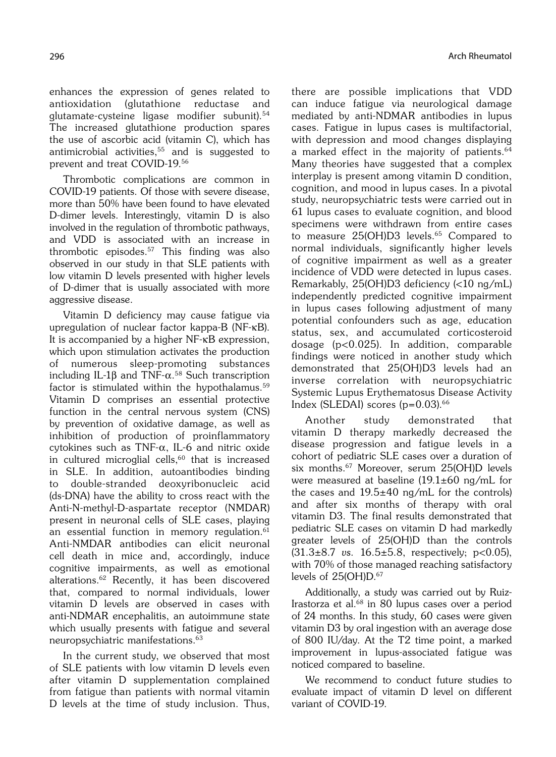enhances the expression of genes related to antioxidation (glutathione reductase and glutamate-cysteine ligase modifier subunit).<sup>54</sup> The increased glutathione production spares the use of ascorbic acid (vitamin C), which has antimicrobial activities, $55$  and is suggested to prevent and treat COVID-19.56

Thrombotic complications are common in COVID-19 patients. Of those with severe disease, more than 50% have been found to have elevated D-dimer levels. Interestingly, vitamin D is also involved in the regulation of thrombotic pathways, and VDD is associated with an increase in thrombotic episodes.57 This finding was also observed in our study in that SLE patients with low vitamin D levels presented with higher levels of D-dimer that is usually associated with more aggressive disease.

Vitamin D deficiency may cause fatigue via upregulation of nuclear factor kappa-B (NF-kB). It is accompanied by a higher NF-kB expression, which upon stimulation activates the production of numerous sleep-promoting substances including IL-1 $\beta$  and TNF- $\alpha$ .<sup>58</sup> Such transcription factor is stimulated within the hypothalamus.<sup>59</sup> Vitamin D comprises an essential protective function in the central nervous system (CNS) by prevention of oxidative damage, as well as inhibition of production of proinflammatory cytokines such as TNF- $\alpha$ , IL-6 and nitric oxide in cultured microglial cells, $60$  that is increased in SLE. In addition, autoantibodies binding to double-stranded deoxyribonucleic acid (ds-DNA) have the ability to cross react with the Anti-N-methyl-D-aspartate receptor (NMDAR) present in neuronal cells of SLE cases, playing an essential function in memory regulation.<sup>61</sup> Anti-NMDAR antibodies can elicit neuronal cell death in mice and, accordingly, induce cognitive impairments, as well as emotional alterations.62 Recently, it has been discovered that, compared to normal individuals, lower vitamin D levels are observed in cases with anti-NDMAR encephalitis, an autoimmune state which usually presents with fatigue and several neuropsychiatric manifestations.63

In the current study, we observed that most of SLE patients with low vitamin D levels even after vitamin D supplementation complained from fatigue than patients with normal vitamin D levels at the time of study inclusion. Thus, there are possible implications that VDD can induce fatigue via neurological damage mediated by anti-NDMAR antibodies in lupus cases. Fatigue in lupus cases is multifactorial, with depression and mood changes displaying a marked effect in the majority of patients.<sup>64</sup> Many theories have suggested that a complex interplay is present among vitamin D condition, cognition, and mood in lupus cases. In a pivotal study, neuropsychiatric tests were carried out in 61 lupus cases to evaluate cognition, and blood specimens were withdrawn from entire cases to measure 25(OH)D3 levels.<sup>65</sup> Compared to normal individuals, significantly higher levels of cognitive impairment as well as a greater incidence of VDD were detected in lupus cases. Remarkably, 25(OH)D3 deficiency (<10 ng/mL) independently predicted cognitive impairment in lupus cases following adjustment of many potential confounders such as age, education status, sex, and accumulated corticosteroid dosage (p<0.025). In addition, comparable findings were noticed in another study which demonstrated that 25(OH)D3 levels had an inverse correlation with neuropsychiatric Systemic Lupus Erythematosus Disease Activity Index (SLEDAI) scores  $(p=0.03)$ .<sup>66</sup>

Another study demonstrated that vitamin D therapy markedly decreased the disease progression and fatigue levels in a cohort of pediatric SLE cases over a duration of six months.<sup>67</sup> Moreover, serum 25(OH)D levels were measured at baseline  $(19.1\pm60 \text{ ng/mL}$  for the cases and  $19.5\pm40$  ng/mL for the controls) and after six months of therapy with oral vitamin D3. The final results demonstrated that pediatric SLE cases on vitamin D had markedly greater levels of 25(OH)D than the controls  $(31.3\pm8.7 \text{ vs. } 16.5\pm5.8, \text{ respectively}; \text{ p} < 0.05)$ , with 70% of those managed reaching satisfactory levels of 25(OH)D.<sup>67</sup>

Additionally, a study was carried out by Ruiz-Irastorza et al.68 in 80 lupus cases over a period of 24 months. In this study, 60 cases were given vitamin D3 by oral ingestion with an average dose of 800 IU/day. At the T2 time point, a marked improvement in lupus-associated fatigue was noticed compared to baseline.

We recommend to conduct future studies to evaluate impact of vitamin D level on different variant of COVID-19.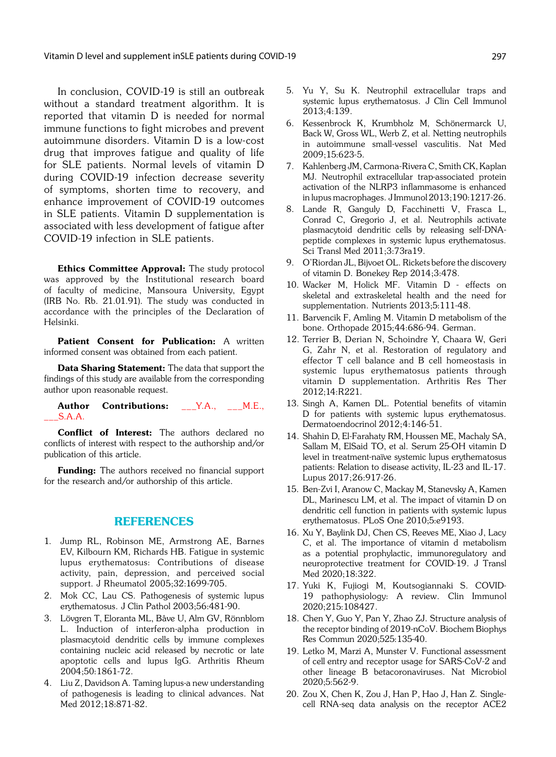In conclusion, COVID-19 is still an outbreak without a standard treatment algorithm. It is reported that vitamin D is needed for normal immune functions to fight microbes and prevent autoimmune disorders. Vitamin D is a low-cost drug that improves fatigue and quality of life for SLE patients. Normal levels of vitamin D during COVID-19 infection decrease severity of symptoms, shorten time to recovery, and enhance improvement of COVID-19 outcomes in SLE patients. Vitamin D supplementation is associated with less development of fatigue after COVID-19 infection in SLE patients.

Ethics Committee Approval: The study protocol was approved by the Institutional research board of faculty of medicine, Mansoura University, Egypt (IRB No. Rb. 21.01.91). The study was conducted in accordance with the principles of the Declaration of Helsinki.

Patient Consent for Publication: A written informed consent was obtained from each patient.

Data Sharing Statement: The data that support the findings of this study are available from the corresponding author upon reasonable request.

Author Contributions: \_\_Y.A., \_\_M.E., \_\_\_S.A.A.

Conflict of Interest: The authors declared no conflicts of interest with respect to the authorship and/or publication of this article.

**Funding:** The authors received no financial support for the research and/or authorship of this article.

### REFERENCES

- 1. Jump RL, Robinson ME, Armstrong AE, Barnes EV, Kilbourn KM, Richards HB. Fatigue in systemic lupus erythematosus: Contributions of disease activity, pain, depression, and perceived social support. J Rheumatol 2005;32:1699-705.
- 2. Mok CC, Lau CS. Pathogenesis of systemic lupus erythematosus. J Clin Pathol 2003;56:481-90.
- 3. Lövgren T, Eloranta ML, Båve U, Alm GV, Rönnblom L. Induction of interferon-alpha production in plasmacytoid dendritic cells by immune complexes containing nucleic acid released by necrotic or late apoptotic cells and lupus IgG. Arthritis Rheum 2004;50:1861-72.
- 4. Liu Z, Davidson A. Taming lupus-a new understanding of pathogenesis is leading to clinical advances. Nat Med 2012;18:871-82.
- 5. Yu Y, Su K. Neutrophil extracellular traps and systemic lupus erythematosus. J Clin Cell Immunol 2013;4:139.
- 6. Kessenbrock K, Krumbholz M, Schönermarck U, Back W, Gross WL, Werb Z, et al. Netting neutrophils in autoimmune small-vessel vasculitis. Nat Med 2009;15:623-5.
- 7. Kahlenberg JM, Carmona-Rivera C, Smith CK, Kaplan MJ. Neutrophil extracellular trap-associated protein activation of the NLRP3 inflammasome is enhanced in lupus macrophages. J Immunol 2013;190:1217-26.
- 8. Lande R, Ganguly D, Facchinetti V, Frasca L, Conrad C, Gregorio J, et al. Neutrophils activate plasmacytoid dendritic cells by releasing self-DNApeptide complexes in systemic lupus erythematosus. Sci Transl Med 2011;3:73ra19.
- 9. O'Riordan JL, Bijvoet OL. Rickets before the discovery of vitamin D. Bonekey Rep 2014;3:478.
- 10. Wacker M, Holick MF. Vitamin D effects on skeletal and extraskeletal health and the need for supplementation. Nutrients 2013;5:111-48.
- 11. Barvencik F, Amling M. Vitamin D metabolism of the bone. Orthopade 2015;44:686-94. German.
- 12. Terrier B, Derian N, Schoindre Y, Chaara W, Geri G, Zahr N, et al. Restoration of regulatory and effector T cell balance and B cell homeostasis in systemic lupus erythematosus patients through vitamin D supplementation. Arthritis Res Ther 2012;14:R221.
- 13. Singh A, Kamen DL. Potential benefits of vitamin D for patients with systemic lupus erythematosus. Dermatoendocrinol 2012;4:146-51.
- 14. Shahin D, El-Farahaty RM, Houssen ME, Machaly SA, Sallam M, ElSaid TO, et al. Serum 25-OH vitamin D level in treatment-naïve systemic lupus erythematosus patients: Relation to disease activity, IL-23 and IL-17. Lupus 2017;26:917-26.
- 15. Ben-Zvi I, Aranow C, Mackay M, Stanevsky A, Kamen DL, Marinescu LM, et al. The impact of vitamin D on dendritic cell function in patients with systemic lupus erythematosus. PLoS One 2010;5:e9193.
- 16. Xu Y, Baylink DJ, Chen CS, Reeves ME, Xiao J, Lacy C, et al. The importance of vitamin d metabolism as a potential prophylactic, immunoregulatory and neuroprotective treatment for COVID-19. J Transl Med 2020;18:322.
- 17. Yuki K, Fujiogi M, Koutsogiannaki S. COVID-19 pathophysiology: A review. Clin Immunol 2020;215:108427.
- 18. Chen Y, Guo Y, Pan Y, Zhao ZJ. Structure analysis of the receptor binding of 2019-nCoV. Biochem Biophys Res Commun 2020;525:135-40.
- 19. Letko M, Marzi A, Munster V. Functional assessment of cell entry and receptor usage for SARS-CoV-2 and other lineage B betacoronaviruses. Nat Microbiol 2020;5:562-9.
- 20. Zou X, Chen K, Zou J, Han P, Hao J, Han Z. Singlecell RNA-seq data analysis on the receptor ACE2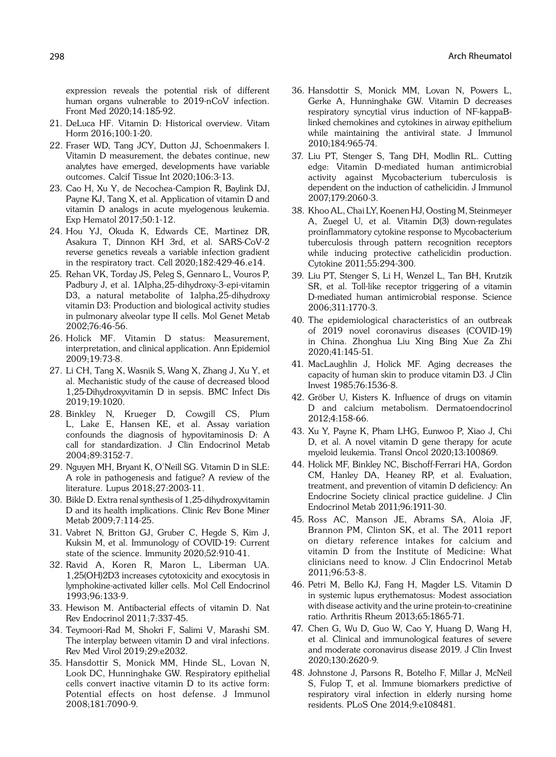expression reveals the potential risk of different human organs vulnerable to 2019-nCoV infection. Front Med 2020;14:185-92.

- 21. DeLuca HF. Vitamin D: Historical overview. Vitam Horm 2016;100:1-20.
- 22. Fraser WD, Tang JCY, Dutton JJ, Schoenmakers I. Vitamin D measurement, the debates continue, new analytes have emerged, developments have variable outcomes. Calcif Tissue Int 2020;106:3-13.
- 23. Cao H, Xu Y, de Necochea-Campion R, Baylink DJ, Payne KJ, Tang X, et al. Application of vitamin D and vitamin D analogs in acute myelogenous leukemia. Exp Hematol 2017;50:1-12.
- 24. Hou YJ, Okuda K, Edwards CE, Martinez DR, Asakura T, Dinnon KH 3rd, et al. SARS-CoV-2 reverse genetics reveals a variable infection gradient in the respiratory tract. Cell 2020;182:429-46.e14.
- 25. Rehan VK, Torday JS, Peleg S, Gennaro L, Vouros P, Padbury J, et al. 1Alpha,25-dihydroxy-3-epi-vitamin D3, a natural metabolite of 1alpha,25-dihydroxy vitamin D3: Production and biological activity studies in pulmonary alveolar type II cells. Mol Genet Metab 2002;76:46-56.
- 26. Holick MF. Vitamin D status: Measurement, interpretation, and clinical application. Ann Epidemiol 2009;19:73-8.
- 27. Li CH, Tang X, Wasnik S, Wang X, Zhang J, Xu Y, et al. Mechanistic study of the cause of decreased blood 1,25-Dihydroxyvitamin D in sepsis. BMC Infect Dis 2019;19:1020.
- 28. Binkley N, Krueger D, Cowgill CS, Plum L, Lake E, Hansen KE, et al. Assay variation confounds the diagnosis of hypovitaminosis D: A call for standardization. J Clin Endocrinol Metab 2004;89:3152-7.
- 29. Nguyen MH, Bryant K, O'Neill SG. Vitamin D in SLE: A role in pathogenesis and fatigue? A review of the literature. Lupus 2018;27:2003-11.
- 30. Bikle D. Extra renal synthesis of 1,25-dihydroxyvitamin D and its health implications. Clinic Rev Bone Miner Metab 2009;7:114-25.
- 31. Vabret N, Britton GJ, Gruber C, Hegde S, Kim J, Kuksin M, et al. Immunology of COVID-19: Current state of the science. Immunity 2020;52:910-41.
- 32. Ravid A, Koren R, Maron L, Liberman UA. 1,25(OH)2D3 increases cytotoxicity and exocytosis in lymphokine-activated killer cells. Mol Cell Endocrinol 1993;96:133-9.
- 33. Hewison M. Antibacterial effects of vitamin D. Nat Rev Endocrinol 2011;7:337-45.
- 34. Teymoori-Rad M, Shokri F, Salimi V, Marashi SM. The interplay between vitamin D and viral infections. Rev Med Virol 2019;29:e2032.
- 35. Hansdottir S, Monick MM, Hinde SL, Lovan N, Look DC, Hunninghake GW. Respiratory epithelial cells convert inactive vitamin D to its active form: Potential effects on host defense. J Immunol 2008;181:7090-9.
- 36. Hansdottir S, Monick MM, Lovan N, Powers L, Gerke A, Hunninghake GW. Vitamin D decreases respiratory syncytial virus induction of NF-kappaBlinked chemokines and cytokines in airway epithelium while maintaining the antiviral state. J Immunol 2010;184:965-74.
- 37. Liu PT, Stenger S, Tang DH, Modlin RL. Cutting edge: Vitamin D-mediated human antimicrobial activity against Mycobacterium tuberculosis is dependent on the induction of cathelicidin. J Immunol 2007;179:2060-3.
- 38. Khoo AL, Chai LY, Koenen HJ, Oosting M, Steinmeyer A, Zuegel U, et al. Vitamin D(3) down-regulates proinflammatory cytokine response to Mycobacterium tuberculosis through pattern recognition receptors while inducing protective cathelicidin production. Cytokine 2011;55:294-300.
- 39. Liu PT, Stenger S, Li H, Wenzel L, Tan BH, Krutzik SR, et al. Toll-like receptor triggering of a vitamin D-mediated human antimicrobial response. Science 2006;311:1770-3.
- 40. The epidemiological characteristics of an outbreak of 2019 novel coronavirus diseases (COVID-19) in China. Zhonghua Liu Xing Bing Xue Za Zhi 2020;41:145-51.
- 41. MacLaughlin J, Holick MF. Aging decreases the capacity of human skin to produce vitamin D3. J Clin Invest 1985;76:1536-8.
- 42. Gröber U, Kisters K. Influence of drugs on vitamin D and calcium metabolism. Dermatoendocrinol 2012;4:158-66.
- 43. Xu Y, Payne K, Pham LHG, Eunwoo P, Xiao J, Chi D, et al. A novel vitamin D gene therapy for acute myeloid leukemia. Transl Oncol 2020;13:100869.
- 44. Holick MF, Binkley NC, Bischoff-Ferrari HA, Gordon CM, Hanley DA, Heaney RP, et al. Evaluation, treatment, and prevention of vitamin D deficiency: An Endocrine Society clinical practice guideline. J Clin Endocrinol Metab 2011;96:1911-30.
- 45. Ross AC, Manson JE, Abrams SA, Aloia JF, Brannon PM, Clinton SK, et al. The 2011 report on dietary reference intakes for calcium and vitamin D from the Institute of Medicine: What clinicians need to know. J Clin Endocrinol Metab 2011;96:53-8.
- 46. Petri M, Bello KJ, Fang H, Magder LS. Vitamin D in systemic lupus erythematosus: Modest association with disease activity and the urine protein-to-creatinine ratio. Arthritis Rheum 2013;65:1865-71.
- 47. Chen G, Wu D, Guo W, Cao Y, Huang D, Wang H, et al. Clinical and immunological features of severe and moderate coronavirus disease 2019. J Clin Invest 2020;130:2620-9.
- 48. Johnstone J, Parsons R, Botelho F, Millar J, McNeil S, Fulop T, et al. Immune biomarkers predictive of respiratory viral infection in elderly nursing home residents. PLoS One 2014;9:e108481.